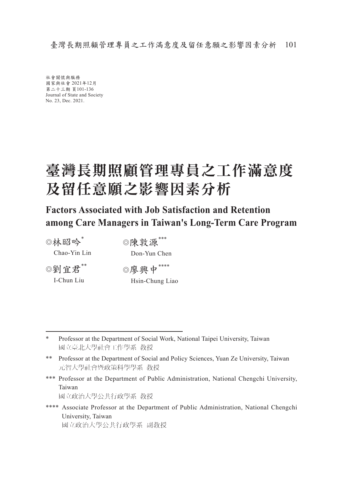臺灣長期照顧管理專員之工作滿意度及留任意願之影響因素分析 101

社會關懷與服務 國家與社會 2021年12月 第二十三期 頁101-136 Journal of State and Society No. 23, Dec. 2021.

## 臺灣長期照顧管理專員之工作滿意度 及留任意願之影響因素分析

**Factors Associated with Job Satisfaction and Retention among Care Managers in Taiwan's Long-Term Care Program**

◎林昭吟\*

Chao-Yin Lin

◎陳敦源\*\*\* Don-Yun Chen

◎劉宜君\*\* I-Chun Liu

◎廖興中\*\*\*\* Hsin-Chung Liao

\*\*\* Professor at the Department of Public Administration, National Chengchi University, Taiwan 國立政治大學公共行政學系 教授

\*\*\*\* Associate Professor at the Department of Public Administration, National Chengchi University, Taiwan 國立政治大學公共行政學系 副教授

<sup>\*</sup> Professor at the Department of Social Work, National Taipei University, Taiwan 國立臺北大學社會工作學系 教授

<sup>\*\*</sup> Professor at the Department of Social and Policy Sciences, Yuan Ze University, Taiwan 元智大學社會暨政策科學學系 教授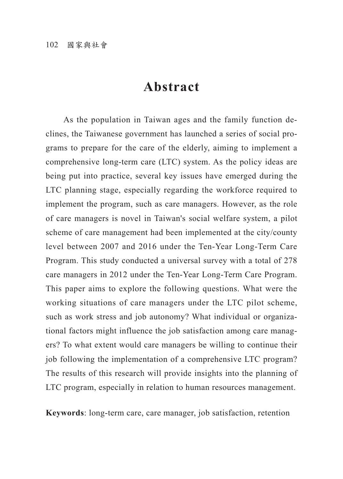## **Abstract**

As the population in Taiwan ages and the family function declines, the Taiwanese government has launched a series of social programs to prepare for the care of the elderly, aiming to implement a comprehensive long-term care (LTC) system. As the policy ideas are being put into practice, several key issues have emerged during the LTC planning stage, especially regarding the workforce required to implement the program, such as care managers. However, as the role of care managers is novel in Taiwan's social welfare system, a pilot scheme of care management had been implemented at the city/county level between 2007 and 2016 under the Ten-Year Long-Term Care Program. This study conducted a universal survey with a total of 278 care managers in 2012 under the Ten-Year Long-Term Care Program. This paper aims to explore the following questions. What were the working situations of care managers under the LTC pilot scheme, such as work stress and job autonomy? What individual or organizational factors might influence the job satisfaction among care managers? To what extent would care managers be willing to continue their job following the implementation of a comprehensive LTC program? The results of this research will provide insights into the planning of LTC program, especially in relation to human resources management.

**Keywords**: long-term care, care manager, job satisfaction, retention